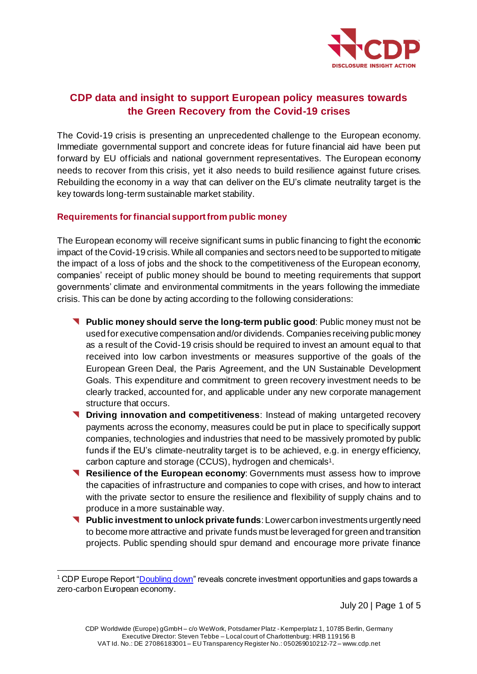

# **CDP data and insight to support European policy measures towards the Green Recovery from the Covid-19 crises**

The Covid-19 crisis is presenting an unprecedented challenge to the European economy. Immediate governmental support and concrete ideas for future financial aid have been put forward by EU officials and national government representatives. The European economy needs to recover from this crisis, yet it also needs to build resilience against future crises. Rebuilding the economy in a way that can deliver on the EU's climate neutrality target is the key towards long-term sustainable market stability.

### **Requirements for financial support from public money**

The European economy will receive significant sums in public financing to fight the economic impact of the Covid-19 crisis.While all companies and sectors need to be supported to mitigate the impact of a loss of jobs and the shock to the competitiveness of the European economy, companies' receipt of public money should be bound to meeting requirements that support governments' climate and environmental commitments in the years following the immediate crisis. This can be done by acting according to the following considerations:

- **Public money should serve the long-term public good**: Public money must not be used for executive compensation and/or dividends. Companies receiving public money as a result of the Covid-19 crisis should be required to invest an amount equal to that received into low carbon investments or measures supportive of the goals of the European Green Deal, the Paris Agreement, and the UN Sustainable Development Goals. This expenditure and commitment to green recovery investment needs to be clearly tracked, accounted for, and applicable under any new corporate management structure that occurs.
- **T** Driving innovation and competitiveness: Instead of making untargeted recovery payments across the economy, measures could be put in place to specifically support companies, technologies and industries that need to be massively promoted by public funds if the EU's climate-neutrality target is to be achieved, e.g. in energy efficiency, carbon capture and storage (CCUS), hydrogen and chemicals<sup>1</sup>.
- **Resilience of the European economy**: Governments must assess how to improve the capacities of infrastructure and companies to cope with crises, and how to interact with the private sector to ensure the resilience and flexibility of supply chains and to produce in a more sustainable way.
- **Public investment to unlock private funds**: Lower carbon investments urgently need to become more attractive and private funds must be leveraged for green and transition projects. Public spending should spur demand and encourage more private finance

July 20 | Page 1 of 5

 $1$  CDP Europe Report ["Doubling down](https://www.cdp.net/en/research/global-reports/doubling-down)" reveals concrete investment opportunities and gaps towards a zero-carbon European economy.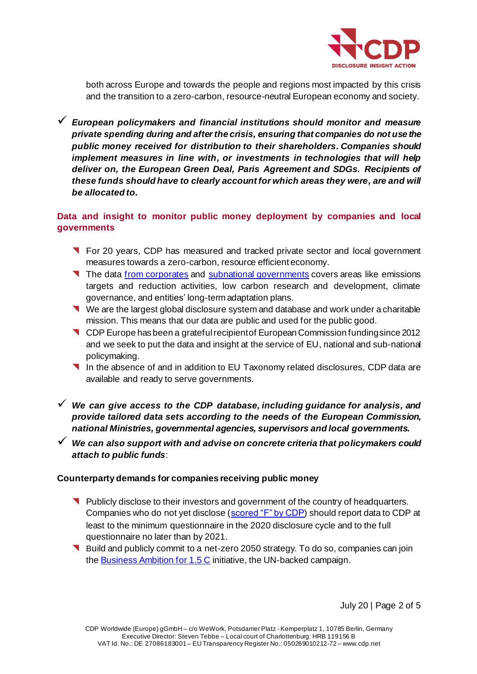

both across Europe and towards the people and regions most impacted by this crisis and the transition to a zero-carbon, resource-neutral European economy and society.

✓ *European policymakers and financial institutions should monitor and measure private spending during and after the crisis, ensuring that companies do not use the public money received for distribution to their shareholders. Companies should implement measures in line with, or investments in technologies that will help deliver on, the European Green Deal, Paris Agreement and SDGs. Recipients of these funds should have to clearly account for which areas they were, are and will be allocated to.*

## **Data and insight to monitor public money deployment by companies and local governments**

- **T** For 20 years, CDP has measured and tracked private sector and local government measures towards a zero-carbon, resource efficient economy.
- The data from [corporates](https://www.cdp.net/en/guidance/guidance-for-companies#6c84d1acb017e380e18853ad8966994a) and [subnational governments](https://www.cdp.net/en/guidance/guidance-for-cities#e255a8d88d3457a3f65bfad1449320da) covers areas like emissions targets and reduction activities, low carbon research and development, climate governance, and entities' long-term adaptation plans.
- We are the largest global disclosure system and database and work under a charitable mission. This means that our data are public and used for the public good.
- **CDP** Europe has been a grateful recipient of European Commission funding since 2012 and we seek to put the data and insight at the service of EU, national and sub-national policymaking.
- In the absence of and in addition to EU Taxonomy related disclosures, CDP data are available and ready to serve governments.
- ✓ *We can give access to the CDP database, including guidance for analysis, and provide tailored data sets according to the needs of the European Commission, national Ministries, governmental agencies, supervisors and local governments.*
- ✓ *We can also support with and advise on concrete criteria that policymakers could attach to public funds*:

#### **Counterparty demands for companies receiving public money**

- Publicly disclose to their investors and government of the country of headquarters. Companies who do not yet disclose [\(scored "F" by CDP\)](https://www.cdp.net/en/companies/companies-scores) should report data to CDP at least to the minimum questionnaire in the 2020 disclosure cycle and to the full questionnaire no later than by 2021.
- Build and publicly commit to a net-zero 2050 strategy. To do so, companies can join th[e Business Ambition for 1.5 C](https://www.unglobalcompact.org/take-action/events/climate-action-summit-2019/business-ambition) initiative, the UN-backed campaign.

July 20 | Page 2 of 5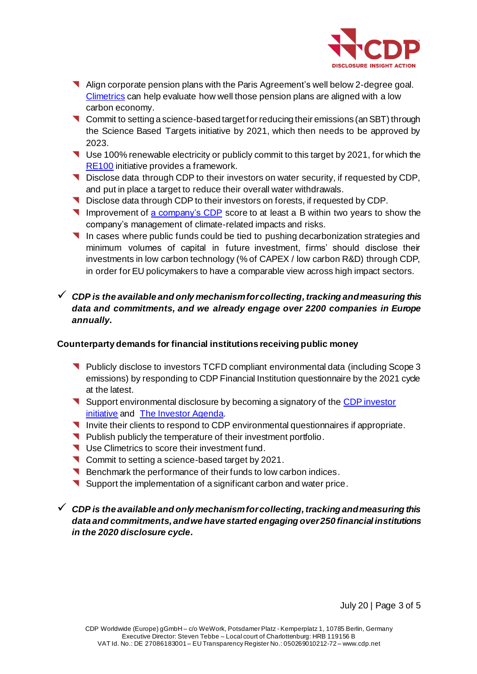

- Align corporate pension plans with the Paris Agreement's well below 2-degree goal. [Climetrics](https://www.cdp.net/en/investor/climetrics) can help evaluate how well those pension plans are aligned with a low carbon economy.
- Commit to setting a science-based target for reducing their emissions (an SBT) through the Science Based Targets initiative by 2021, which then needs to be approved by 2023.
- Use 100% renewable electricity or publicly commit to this target by 2021, for which the [RE100](http://www.there100.org/) initiative provides a framework.
- Disclose data through CDP to their investors on water security, if requested by CDP, and put in place a target to reduce their overall water withdrawals.
- Disclose data through CDP to their investors on forests, if requested by CDP.
- Improvement of [a company's CDP](https://6fefcbb86e61af1b2fc4-c70d8ead6ced550b4d987d7c03fcdd1d.ssl.cf3.rackcdn.com/cms/guidance_docs/pdfs/000/000/233/original/Scoring-Introduction.pdf?) score to at least a B within two years to show the company's management of climate-related impacts and risks.
- In cases where public funds could be tied to pushing decarbonization strategies and minimum volumes of capital in future investment, firms' should disclose their investments in low carbon technology (% of CAPEX / low carbon R&D) through CDP, in order for EU policymakers to have a comparable view across high impact sectors.

## ✓ *CDP is the available and only mechanism for collecting, tracking and measuring this data and commitments, and we already engage over 2200 companies in Europe annually.*

### **Counterparty demands for financial institutions receiving public money**

- Publicly disclose to investors TCFD compliant environmental data (including Scope 3 emissions) by responding to CDP Financial Institution questionnaire by the 2021 cycle at the latest.
- Support environmental disclosure by becoming a signatory of th[e CDP investor](https://www.cdp.net/en/investor)  [initiative](https://www.cdp.net/en/investor) and **The Investor Agenda**.
- Invite their clients to respond to CDP environmental questionnaires if appropriate.
- Publish publicly the temperature of their investment portfolio.
- Use Climetrics to score their investment fund.
- Commit to setting a science-based target by 2021.
- Benchmark the performance of their funds to low carbon indices.
- Support the implementation of a significant carbon and water price.

✓ *CDP is the available and only mechanism for collecting, tracking and measuring this data and commitments, and we have started engaging over 250 financial institutions in the 2020 disclosure cycle.* 

July 20 | Page 3 of 5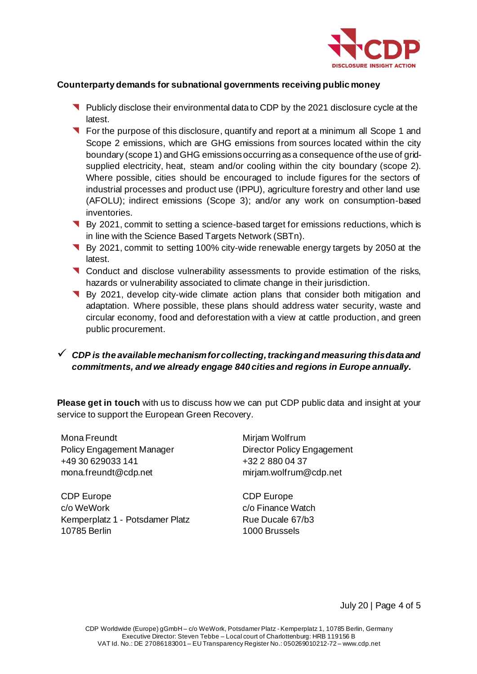

### **Counterparty demands for subnational governments receiving public money**

- Publicly disclose their environmental data to CDP by the 2021 disclosure cycle at the latest.
- **T** For the purpose of this disclosure, quantify and report at a minimum all Scope 1 and Scope 2 emissions, which are GHG emissions from sources located within the city boundary (scope 1) and GHG emissions occurring as a consequence of the use of gridsupplied electricity, heat, steam and/or cooling within the city boundary (scope 2). Where possible, cities should be encouraged to include figures for the sectors of industrial processes and product use (IPPU), agriculture forestry and other land use (AFOLU); indirect emissions (Scope 3); and/or any work on consumption-based inventories.
- By 2021, commit to setting a science-based target for emissions reductions, which is in line with the Science Based Targets Network (SBTn).
- By 2021, commit to setting 100% city-wide renewable energy targets by 2050 at the latest.
- **T** Conduct and disclose vulnerability assessments to provide estimation of the risks, hazards or vulnerability associated to climate change in their jurisdiction.
- By 2021, develop city-wide climate action plans that consider both mitigation and adaptation. Where possible, these plans should address water security, waste and circular economy, food and deforestation with a view at cattle production, and green public procurement.

## ✓ *CDP is the available mechanism for collecting, tracking and measuring this data and commitments, and we already engage 840 cities and regions in Europe annually.*

**Please get in touch** with us to discuss how we can put CDP public data and insight at your service to support the European Green Recovery.

| Mona Freundt              |
|---------------------------|
| Policy Engagement Manager |
| +49 30 629033 141         |
| mona.freundt@cdp.net      |
|                           |

CDP Europe c/o WeWork Kemperplatz 1 - Potsdamer Platz 10785 Berlin

Mirjam Wolfrum Director Policy Engagement +32 2 880 04 37 [mirjam.wolfrum@cdp.net](mailto:mirjam.wolfrum@cdp.net)

CDP Europe c/o Finance Watch Rue Ducale 67/b3 1000 Brussels

July 20 | Page 4 of 5